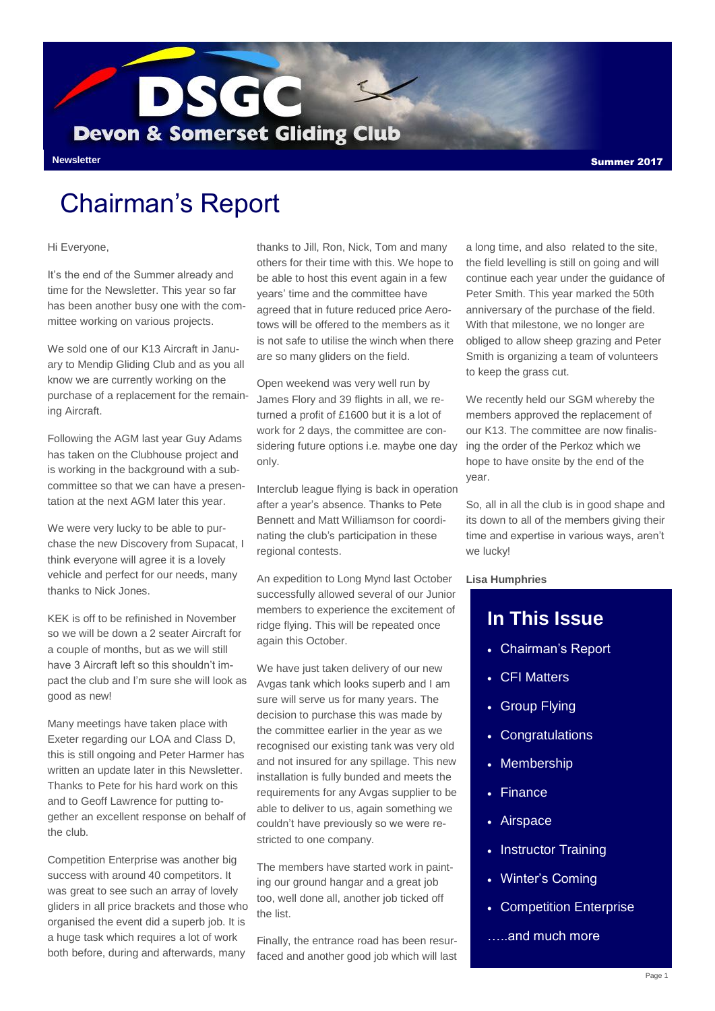

## Chairman's Report

#### Hi Everyone,

It's the end of the Summer already and time for the Newsletter. This year so far has been another busy one with the committee working on various projects.

We sold one of our K13 Aircraft in January to Mendip Gliding Club and as you all know we are currently working on the purchase of a replacement for the remaining Aircraft.

Following the AGM last year Guy Adams has taken on the Clubhouse project and is working in the background with a subcommittee so that we can have a presentation at the next AGM later this year.

We were very lucky to be able to purchase the new Discovery from Supacat, I think everyone will agree it is a lovely vehicle and perfect for our needs, many thanks to Nick Jones.

KEK is off to be refinished in November so we will be down a 2 seater Aircraft for a couple of months, but as we will still have 3 Aircraft left so this shouldn't impact the club and I'm sure she will look as good as new!

Many meetings have taken place with Exeter regarding our LOA and Class D, this is still ongoing and Peter Harmer has written an update later in this Newsletter. Thanks to Pete for his hard work on this and to Geoff Lawrence for putting together an excellent response on behalf of the club.

Competition Enterprise was another big success with around 40 competitors. It was great to see such an array of lovely gliders in all price brackets and those who organised the event did a superb job. It is a huge task which requires a lot of work both before, during and afterwards, many

thanks to Jill, Ron, Nick, Tom and many others for their time with this. We hope to be able to host this event again in a few years' time and the committee have agreed that in future reduced price Aerotows will be offered to the members as it is not safe to utilise the winch when there are so many gliders on the field.

Open weekend was very well run by James Flory and 39 flights in all, we returned a profit of £1600 but it is a lot of work for 2 days, the committee are considering future options i.e. maybe one day only.

Interclub league flying is back in operation after a year's absence. Thanks to Pete Bennett and Matt Williamson for coordinating the club's participation in these regional contests.

An expedition to Long Mynd last October successfully allowed several of our Junior members to experience the excitement of ridge flying. This will be repeated once again this October.

We have just taken delivery of our new Avgas tank which looks superb and I am sure will serve us for many years. The decision to purchase this was made by the committee earlier in the year as we recognised our existing tank was very old and not insured for any spillage. This new installation is fully bunded and meets the requirements for any Avgas supplier to be able to deliver to us, again something we couldn't have previously so we were restricted to one company.

The members have started work in painting our ground hangar and a great job too, well done all, another job ticked off the list.

Finally, the entrance road has been resurfaced and another good job which will last a long time, and also related to the site, the field levelling is still on going and will continue each year under the guidance of Peter Smith. This year marked the 50th anniversary of the purchase of the field. With that milestone, we no longer are obliged to allow sheep grazing and Peter Smith is organizing a team of volunteers to keep the grass cut.

We recently held our SGM whereby the members approved the replacement of our K13. The committee are now finalising the order of the Perkoz which we hope to have onsite by the end of the year.

So, all in all the club is in good shape and its down to all of the members giving their time and expertise in various ways, aren't we lucky!

#### **Lisa Humphries**

#### **In This Issue**

- Chairman's Report
- CFI Matters
- Group Flying
- Congratulations
- Membership
- Finance
- Airspace
- Instructor Training
- Winter's Coming
- Competition Enterprise
- …..and much more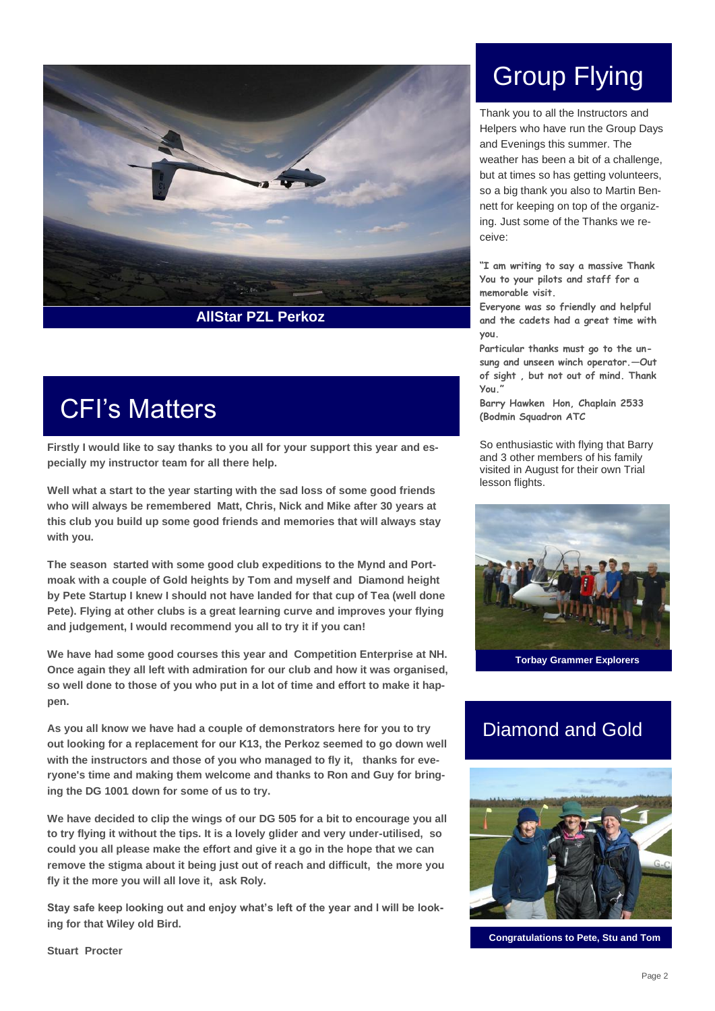

# CFI's Matters

**Firstly I would like to say thanks to you all for your support this year and especially my instructor team for all there help.**

**Well what a start to the year starting with the sad loss of some good friends who will always be remembered Matt, Chris, Nick and Mike after 30 years at this club you build up some good friends and memories that will always stay with you.**

**The season started with some good club expeditions to the Mynd and Portmoak with a couple of Gold heights by Tom and myself and Diamond height by Pete Startup I knew I should not have landed for that cup of Tea (well done Pete). Flying at other clubs is a great learning curve and improves your flying and judgement, I would recommend you all to try it if you can!**

**We have had some good courses this year and Competition Enterprise at NH. Once again they all left with admiration for our club and how it was organised, so well done to those of you who put in a lot of time and effort to make it happen.**

**As you all know we have had a couple of demonstrators here for you to try out looking for a replacement for our K13, the Perkoz seemed to go down well with the instructors and those of you who managed to fly it, thanks for everyone's time and making them welcome and thanks to Ron and Guy for bringing the DG 1001 down for some of us to try.** 

**We have decided to clip the wings of our DG 505 for a bit to encourage you all to try flying it without the tips. It is a lovely glider and very under-utilised, so could you all please make the effort and give it a go in the hope that we can remove the stigma about it being just out of reach and difficult, the more you fly it the more you will all love it, ask Roly.** 

**Stay safe keep looking out and enjoy what's left of the year and I will be looking for that Wiley old Bird.** 

Group Flying

Thank you to all the Instructors and Helpers who have run the Group Days and Evenings this summer. The weather has been a bit of a challenge. but at times so has getting volunteers, so a big thank you also to Martin Bennett for keeping on top of the organizing. Just some of the Thanks we receive:

**"I am writing to say a massive Thank You to your pilots and staff for a memorable visit.** 

**Everyone was so friendly and helpful and the cadets had a great time with you.** 

**Particular thanks must go to the unsung and unseen winch operator.—Out of sight , but not out of mind. Thank You."**

**Barry Hawken Hon, Chaplain 2533 (Bodmin Squadron ATC** 

So enthusiastic with flying that Barry and 3 other members of his family visited in August for their own Trial lesson flights.



#### Diamond and Gold



**Congratulations to Pete, Stu and Tom**

**Stuart Procter**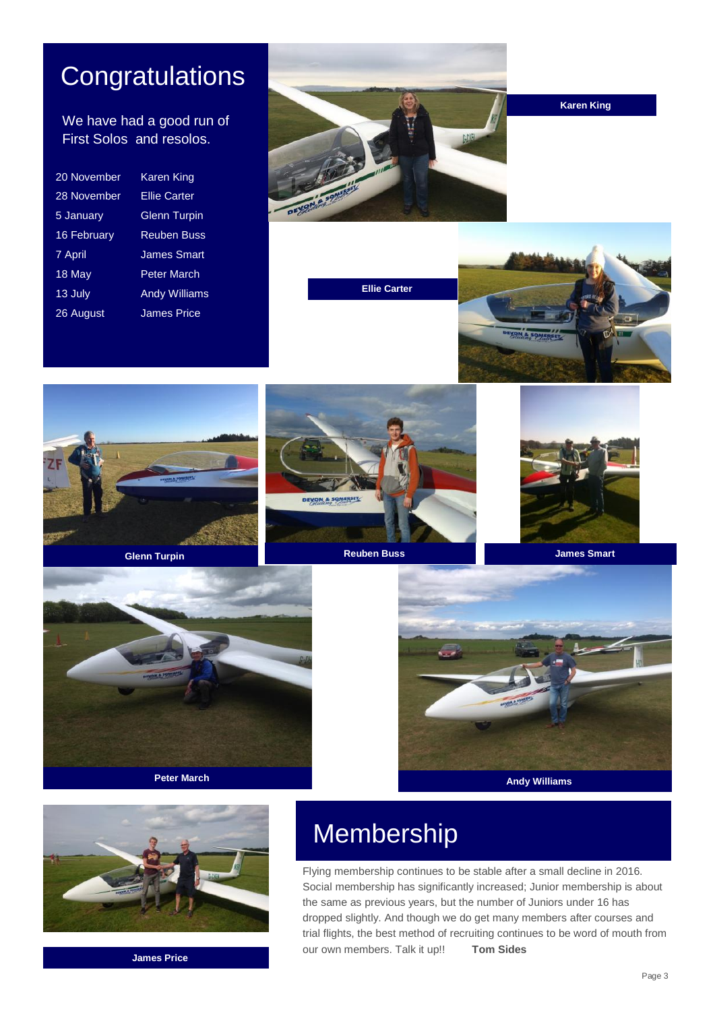## **Congratulations**

#### We have had a good run of First Solos and resolos.

| 20 November | <b>Karen King</b>    |
|-------------|----------------------|
| 28 November | <b>Ellie Carter</b>  |
| 5 January   | <b>Glenn Turpin</b>  |
| 16 February | <b>Reuben Buss</b>   |
| 7 April     | <b>James Smart</b>   |
| 18 May      | <b>Peter March</b>   |
| $13$ July   | <b>Andy Williams</b> |
| 26 August   | <b>James Price</b>   |
|             |                      |



**Ellie Carter**

**Karen King**













**James Price**

# **Peter March Andy Williams Andy Williams**

# Membership

Flying membership continues to be stable after a small decline in 2016. Social membership has significantly increased; Junior membership is about the same as previous years, but the number of Juniors under 16 has dropped slightly. And though we do get many members after courses and trial flights, the best method of recruiting continues to be word of mouth from our own members. Talk it up!! **Tom Sides**

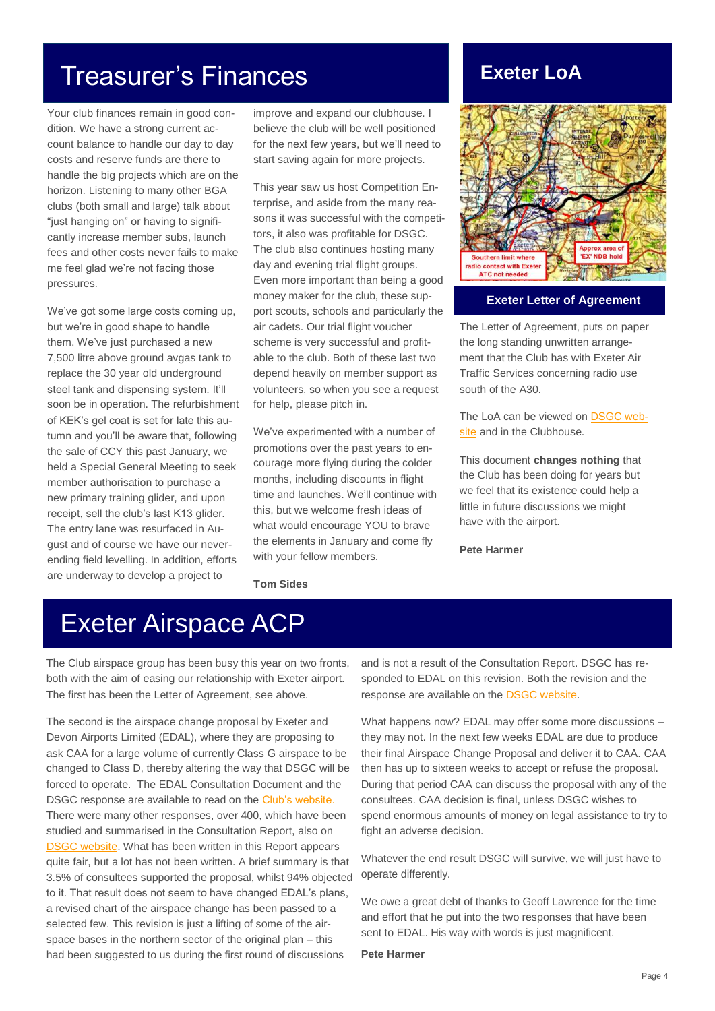## Treasurer's Finances

Your club finances remain in good condition. We have a strong current account balance to handle our day to day costs and reserve funds are there to handle the big projects which are on the horizon. Listening to many other BGA clubs (both small and large) talk about "just hanging on" or having to significantly increase member subs, launch fees and other costs never fails to make me feel glad we're not facing those pressures.

We've got some large costs coming up, but we're in good shape to handle them. We've just purchased a new 7,500 litre above ground avgas tank to replace the 30 year old underground steel tank and dispensing system. It'll soon be in operation. The refurbishment of KEK's gel coat is set for late this autumn and you'll be aware that, following the sale of CCY this past January, we held a Special General Meeting to seek member authorisation to purchase a new primary training glider, and upon receipt, sell the club's last K13 glider. The entry lane was resurfaced in August and of course we have our neverending field levelling. In addition, efforts are underway to develop a project to

improve and expand our clubhouse. I believe the club will be well positioned for the next few years, but we'll need to start saving again for more projects.

This year saw us host Competition Enterprise, and aside from the many reasons it was successful with the competitors, it also was profitable for DSGC. The club also continues hosting many day and evening trial flight groups. Even more important than being a good money maker for the club, these support scouts, schools and particularly the air cadets. Our trial flight voucher scheme is very successful and profitable to the club. Both of these last two depend heavily on member support as volunteers, so when you see a request for help, please pitch in.

We've experimented with a number of promotions over the past years to encourage more flying during the colder months, including discounts in flight time and launches. We'll continue with this, but we welcome fresh ideas of what would encourage YOU to brave the elements in January and come fly with your fellow members.

**Tom Sides**

## **Exeter LoA**



#### **Exeter Letter of Agreement**

The Letter of Agreement, puts on paper the long standing unwritten arrangement that the Club has with Exeter Air Traffic Services concerning radio use south of the A30.

The LoA can be viewed on [DSGC web](http://www.dsgc.co.uk/members-area/latest-news-members-only/286-exeter-airspace-change-proposal)[site](http://www.dsgc.co.uk/members-area/latest-news-members-only/286-exeter-airspace-change-proposal) and in the Clubhouse.

This document **changes nothing** that the Club has been doing for years but we feel that its existence could help a little in future discussions we might have with the airport.

**Pete Harmer**

## Exeter Airspace ACP

The Club airspace group has been busy this year on two fronts, both with the aim of easing our relationship with Exeter airport. The first has been the Letter of Agreement, see above.

The second is the airspace change proposal by Exeter and Devon Airports Limited (EDAL), where they are proposing to ask CAA for a large volume of currently Class G airspace to be changed to Class D, thereby altering the way that DSGC will be forced to operate. The EDAL Consultation Document and the DSGC response are available to read on the [Club's website.](http://www.dsgc.co.uk/members-area/latest-news-members-only/286-exeter-airspace-change-proposal) There were many other responses, over 400, which have been studied and summarised in the Consultation Report, also on [DSGC website.](http://www.dsgc.co.uk/members-area/latest-news-members-only/286-exeter-airspace-change-proposal) What has been written in this Report appears quite fair, but a lot has not been written. A brief summary is that 3.5% of consultees supported the proposal, whilst 94% objected to it. That result does not seem to have changed EDAL's plans, a revised chart of the airspace change has been passed to a selected few. This revision is just a lifting of some of the airspace bases in the northern sector of the original plan – this had been suggested to us during the first round of discussions

and is not a result of the Consultation Report. DSGC has responded to EDAL on this revision. Both the revision and the response are available on the [DSGC website.](http://www.dsgc.co.uk/members-area/latest-news-members-only/286-exeter-airspace-change-proposal)

What happens now? EDAL may offer some more discussions – they may not. In the next few weeks EDAL are due to produce their final Airspace Change Proposal and deliver it to CAA. CAA then has up to sixteen weeks to accept or refuse the proposal. During that period CAA can discuss the proposal with any of the consultees. CAA decision is final, unless DSGC wishes to spend enormous amounts of money on legal assistance to try to fight an adverse decision.

Whatever the end result DSGC will survive, we will just have to operate differently.

We owe a great debt of thanks to Geoff Lawrence for the time and effort that he put into the two responses that have been sent to EDAL. His way with words is just magnificent.

**Pete Harmer**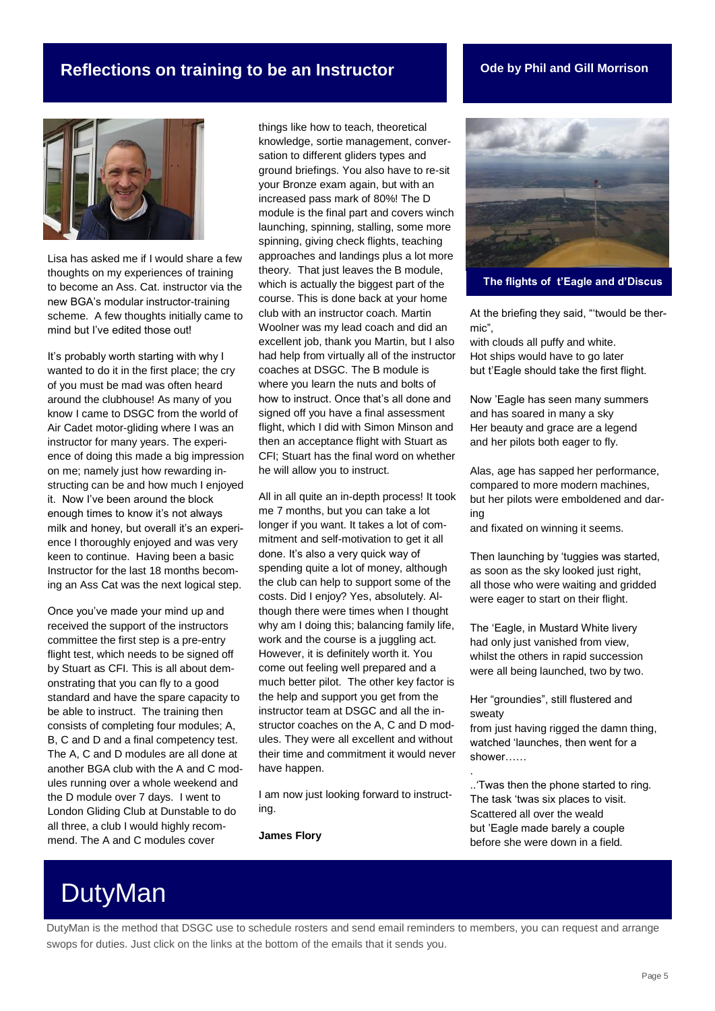#### **Reflections on training to be an Instructor Code by Phil and Gill Morrison**



Lisa has asked me if I would share a few thoughts on my experiences of training to become an Ass. Cat. instructor via the new BGA's modular instructor-training scheme. A few thoughts initially came to mind but I've edited those out!

It's probably worth starting with why I wanted to do it in the first place; the cry of you must be mad was often heard around the clubhouse! As many of you know I came to DSGC from the world of Air Cadet motor-gliding where I was an instructor for many years. The experience of doing this made a big impression on me; namely just how rewarding instructing can be and how much I enjoyed it. Now I've been around the block enough times to know it's not always milk and honey, but overall it's an experience I thoroughly enjoyed and was very keen to continue. Having been a basic Instructor for the last 18 months becoming an Ass Cat was the next logical step.

Once you've made your mind up and received the support of the instructors committee the first step is a pre-entry flight test, which needs to be signed off by Stuart as CFI. This is all about demonstrating that you can fly to a good standard and have the spare capacity to be able to instruct. The training then consists of completing four modules; A, B, C and D and a final competency test. The A, C and D modules are all done at another BGA club with the A and C modules running over a whole weekend and the D module over 7 days. I went to London Gliding Club at Dunstable to do all three, a club I would highly recommend. The A and C modules cover

things like how to teach, theoretical knowledge, sortie management, conversation to different gliders types and ground briefings. You also have to re-sit your Bronze exam again, but with an increased pass mark of 80%! The D module is the final part and covers winch launching, spinning, stalling, some more spinning, giving check flights, teaching approaches and landings plus a lot more theory. That just leaves the B module, which is actually the biggest part of the course. This is done back at your home club with an instructor coach. Martin Woolner was my lead coach and did an excellent job, thank you Martin, but I also had help from virtually all of the instructor coaches at DSGC. The B module is where you learn the nuts and bolts of how to instruct. Once that's all done and signed off you have a final assessment flight, which I did with Simon Minson and then an acceptance flight with Stuart as CFI; Stuart has the final word on whether he will allow you to instruct.

All in all quite an in-depth process! It took me 7 months, but you can take a lot longer if you want. It takes a lot of commitment and self-motivation to get it all done. It's also a very quick way of spending quite a lot of money, although the club can help to support some of the costs. Did I enjoy? Yes, absolutely. Although there were times when I thought why am I doing this; balancing family life, work and the course is a juggling act. However, it is definitely worth it. You come out feeling well prepared and a much better pilot. The other key factor is the help and support you get from the instructor team at DSGC and all the instructor coaches on the A, C and D modules. They were all excellent and without their time and commitment it would never have happen.

I am now just looking forward to instructing.

**James Flory**



**The flights of t'Eagle and d'Discus**

At the briefing they said, "'twould be thermic",

with clouds all puffy and white. Hot ships would have to go later but t'Eagle should take the first flight.

Now 'Eagle has seen many summers and has soared in many a sky Her beauty and grace are a legend and her pilots both eager to fly.

Alas, age has sapped her performance, compared to more modern machines, but her pilots were emboldened and daring

and fixated on winning it seems.

Then launching by 'tuggies was started, as soon as the sky looked just right, all those who were waiting and gridded were eager to start on their flight.

The 'Eagle, in Mustard White livery had only just vanished from view, whilst the others in rapid succession were all being launched, two by two.

Her "groundies", still flustered and sweaty

.

from just having rigged the damn thing, watched 'launches, then went for a shower……

..'Twas then the phone started to ring. The task 'twas six places to visit. Scattered all over the weald but 'Eagle made barely a couple before she were down in a field.

## DutyMan

DutyMan is the method that DSGC use to schedule rosters and send email reminders to members, you can request and arrange swops for duties. Just click on the links at the bottom of the emails that it sends you.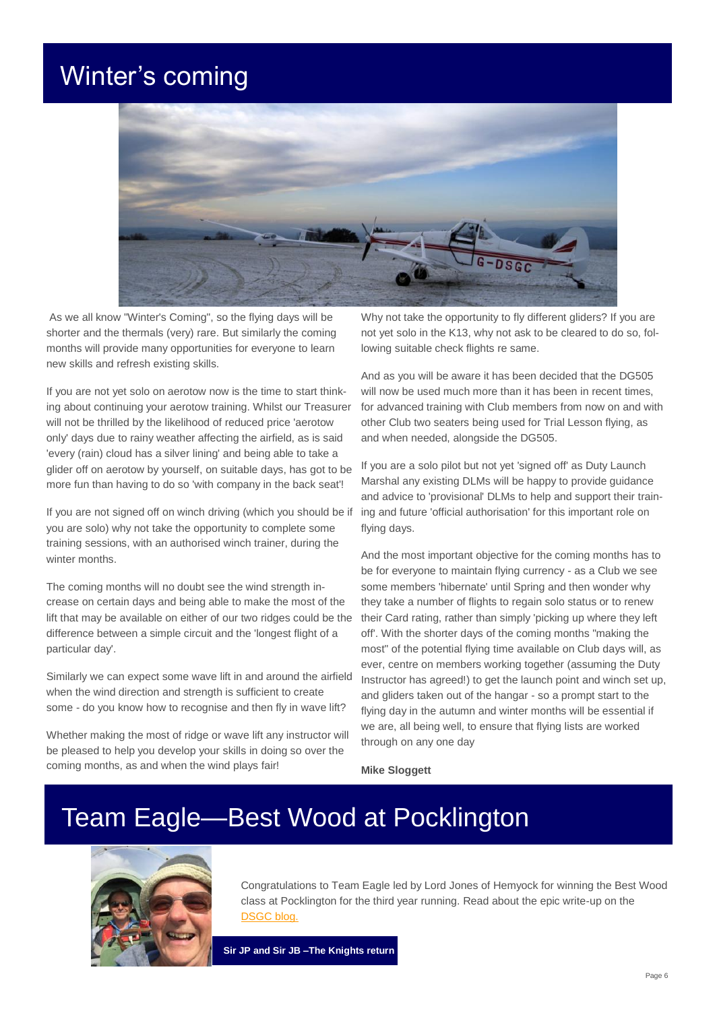## Winter's coming



As we all know "Winter's Coming", so the flying days will be shorter and the thermals (very) rare. But similarly the coming months will provide many opportunities for everyone to learn new skills and refresh existing skills.

If you are not yet solo on aerotow now is the time to start thinking about continuing your aerotow training. Whilst our Treasurer will not be thrilled by the likelihood of reduced price 'aerotow only' days due to rainy weather affecting the airfield, as is said 'every (rain) cloud has a silver lining' and being able to take a glider off on aerotow by yourself, on suitable days, has got to be more fun than having to do so 'with company in the back seat'!

If you are not signed off on winch driving (which you should be if you are solo) why not take the opportunity to complete some training sessions, with an authorised winch trainer, during the winter months.

The coming months will no doubt see the wind strength increase on certain days and being able to make the most of the lift that may be available on either of our two ridges could be the difference between a simple circuit and the 'longest flight of a particular day'.

Similarly we can expect some wave lift in and around the airfield when the wind direction and strength is sufficient to create some - do you know how to recognise and then fly in wave lift?

Whether making the most of ridge or wave lift any instructor will be pleased to help you develop your skills in doing so over the coming months, as and when the wind plays fair!

Why not take the opportunity to fly different gliders? If you are not yet solo in the K13, why not ask to be cleared to do so, following suitable check flights re same.

And as you will be aware it has been decided that the DG505 will now be used much more than it has been in recent times. for advanced training with Club members from now on and with other Club two seaters being used for Trial Lesson flying, as and when needed, alongside the DG505.

If you are a solo pilot but not yet 'signed off' as Duty Launch Marshal any existing DLMs will be happy to provide guidance and advice to 'provisional' DLMs to help and support their training and future 'official authorisation' for this important role on flying days.

And the most important objective for the coming months has to be for everyone to maintain flying currency - as a Club we see some members 'hibernate' until Spring and then wonder why they take a number of flights to regain solo status or to renew their Card rating, rather than simply 'picking up where they left off'. With the shorter days of the coming months "making the most" of the potential flying time available on Club days will, as ever, centre on members working together (assuming the Duty Instructor has agreed!) to get the launch point and winch set up, and gliders taken out of the hangar - so a prompt start to the flying day in the autumn and winter months will be essential if we are, all being well, to ensure that flying lists are worked through on any one day

**Mike Sloggett**

## Team Eagle—Best Wood at Pocklington



Congratulations to Team Eagle led by Lord Jones of Hemyock for winning the Best Wood class at Pocklington for the third year running. Read about the epic write-up on the [DSGC blog.](http://devonsomersetgc.blogspot.co.uk/2017/08/the-tale-of-pocklington-2017-knights.html)

**Sir JP and Sir JB –The Knights return**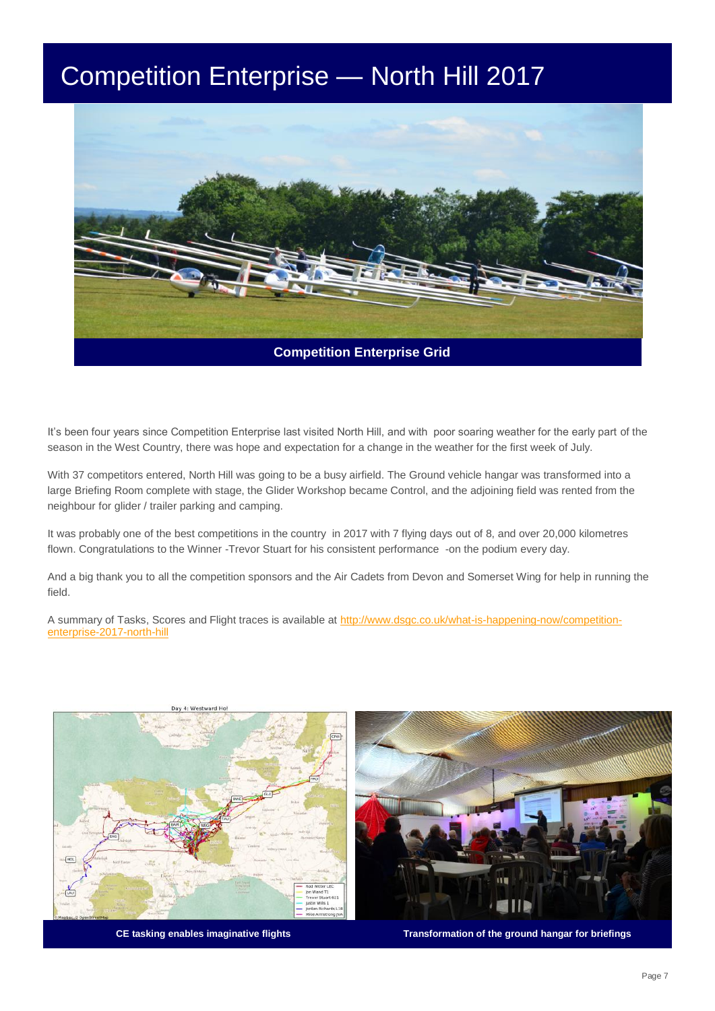## Competition Enterprise — North Hill 2017



It's been four years since Competition Enterprise last visited North Hill, and with poor soaring weather for the early part of the season in the West Country, there was hope and expectation for a change in the weather for the first week of July.

With 37 competitors entered, North Hill was going to be a busy airfield. The Ground vehicle hangar was transformed into a large Briefing Room complete with stage, the Glider Workshop became Control, and the adjoining field was rented from the neighbour for glider / trailer parking and camping.

It was probably one of the best competitions in the country in 2017 with 7 flying days out of 8, and over 20,000 kilometres flown. Congratulations to the Winner -Trevor Stuart for his consistent performance -on the podium every day.

And a big thank you to all the competition sponsors and the Air Cadets from Devon and Somerset Wing for help in running the field.

A summary of Tasks, Scores and Flight traces is available at [http://www.dsgc.co.uk/what-is-happening-now/competition](http://www.dsgc.co.uk/what-is-happening-now/competition-enterprise-2017-north-hill)[enterprise-2017-north-hill](http://www.dsgc.co.uk/what-is-happening-now/competition-enterprise-2017-north-hill)





**CE tasking enables imaginative flights Transformation of the ground hangar for briefings**